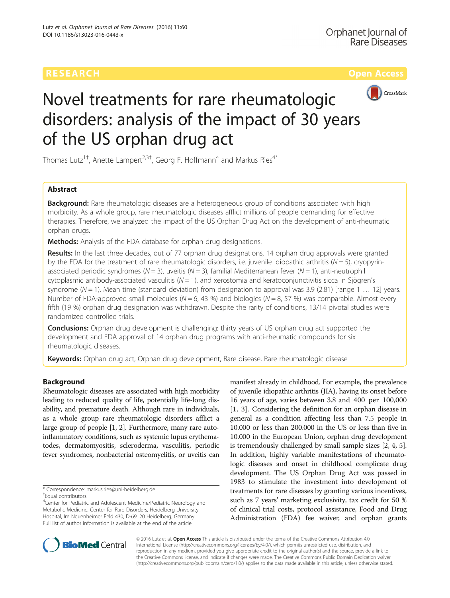

# Novel treatments for rare rheumatologic disorders: analysis of the impact of 30 years of the US orphan drug act

Thomas Lutz<sup>1†</sup>, Anette Lampert<sup>2,3†</sup>, Georg F. Hoffmann<sup>4</sup> and Markus Ries<sup>4\*</sup>

# Abstract

**Background:** Rare rheumatologic diseases are a heterogeneous group of conditions associated with high morbidity. As a whole group, rare rheumatologic diseases afflict millions of people demanding for effective therapies. Therefore, we analyzed the impact of the US Orphan Drug Act on the development of anti-rheumatic orphan drugs.

Methods: Analysis of the FDA database for orphan drug designations.

Results: In the last three decades, out of 77 orphan drug designations, 14 orphan drug approvals were granted by the FDA for the treatment of rare rheumatologic disorders, i.e. juvenile idiopathic arthritis ( $N = 5$ ), cryopyrinassociated periodic syndromes ( $N = 3$ ), uveitis ( $N = 3$ ), familial Mediterranean fever ( $N = 1$ ), anti-neutrophil cytoplasmic antibody-associated vasculitis  $(N = 1)$ , and xerostomia and keratoconjunctivitis sicca in Sjögren's syndrome ( $N = 1$ ). Mean time (standard deviation) from designation to approval was 3.9 (2.81) [range 1 ... 12] years. Number of FDA-approved small molecules ( $N = 6$ , 43 %) and biologics ( $N = 8$ , 57 %) was comparable. Almost every fifth (19 %) orphan drug designation was withdrawn. Despite the rarity of conditions, 13/14 pivotal studies were randomized controlled trials.

**Conclusions:** Orphan drug development is challenging: thirty years of US orphan drug act supported the development and FDA approval of 14 orphan drug programs with anti-rheumatic compounds for six rheumatologic diseases.

Keywords: Orphan drug act, Orphan drug development, Rare disease, Rare rheumatologic disease

# Background

Rheumatologic diseases are associated with high morbidity leading to reduced quality of life, potentially life-long disability, and premature death. Although rare in individuals, as a whole group rare rheumatologic disorders afflict a large group of people [\[1, 2\]](#page-10-0). Furthermore, many rare autoinflammatory conditions, such as systemic lupus erythematodes, dermatomyositis, scleroderma, vasculitis, periodic fever syndromes, nonbacterial osteomyelitis, or uveitis can

manifest already in childhood. For example, the prevalence of juvenile idiopathic arthritis (JIA), having its onset before 16 years of age, varies between 3.8 and 400 per 100,000 [[1](#page-10-0), [3](#page-10-0)]. Considering the definition for an orphan disease in general as a condition affecting less than 7.5 people in 10.000 or less than 200.000 in the US or less than five in 10.000 in the European Union, orphan drug development is tremendously challenged by small sample sizes [[2, 4](#page-10-0), [5](#page-10-0)]. In addition, highly variable manifestations of rheumatologic diseases and onset in childhood complicate drug development. The US Orphan Drug Act was passed in 1983 to stimulate the investment into development of treatments for rare diseases by granting various incentives, such as 7 years' marketing exclusivity, tax credit for 50 % of clinical trial costs, protocol assistance, Food and Drug Administration (FDA) fee waiver, and orphan grants



© 2016 Lutz et al. Open Access This article is distributed under the terms of the Creative Commons Attribution 4.0 International License [\(http://creativecommons.org/licenses/by/4.0/](http://creativecommons.org/licenses/by/4.0/)), which permits unrestricted use, distribution, and reproduction in any medium, provided you give appropriate credit to the original author(s) and the source, provide a link to the Creative Commons license, and indicate if changes were made. The Creative Commons Public Domain Dedication waiver [\(http://creativecommons.org/publicdomain/zero/1.0/](http://creativecommons.org/publicdomain/zero/1.0/)) applies to the data made available in this article, unless otherwise stated.

<sup>\*</sup> Correspondence: [markus.ries@uni-heidelberg.de](mailto:markus.ries@uni-heidelberg.de) †

Equal contributors

<sup>&</sup>lt;sup>4</sup>Center for Pediatric and Adolescent Medicine/Pediatric Neurology and Metabolic Medicine, Center for Rare Disorders, Heidelberg University Hospital, Im Neuenheimer Feld 430, D-69120 Heidelberg, Germany Full list of author information is available at the end of the article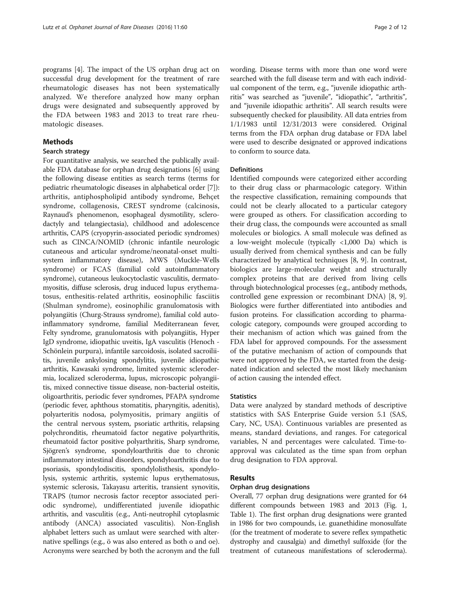programs [[4](#page-10-0)]. The impact of the US orphan drug act on successful drug development for the treatment of rare rheumatologic diseases has not been systematically analyzed. We therefore analyzed how many orphan drugs were designated and subsequently approved by the FDA between 1983 and 2013 to treat rare rheumatologic diseases.

## **Methods**

## Search strategy

For quantitative analysis, we searched the publically available FDA database for orphan drug designations [\[6](#page-10-0)] using the following disease entities as search terms (terms for pediatric rheumatologic diseases in alphabetical order [\[7](#page-10-0)]): arthritis, antiphospholipid antibody syndrome, Behçet syndrome, collagenosis, CREST syndrome (calcinosis, Raynaud's phenomenon, esophageal dysmotility, sclerodactyly and telangiectasia), childhood and adolescence arthritis, CAPS (cryopyrin-associated periodic syndromes) such as CINCA/NOMID (chronic infantile neurologic cutaneous and articular syndrome/neonatal-onset multisystem inflammatory disease), MWS (Muckle-Wells syndrome) or FCAS (familial cold autoinflammatory syndrome), cutaneous leukocytoclastic vasculitis, dermatomyositis, diffuse sclerosis, drug induced lupus erythematosus, enthesitis-related arthritis, eosinophilic fasciitis (Shulman syndrome), eosinophilic granulomatosis with polyangiitis (Churg-Strauss syndrome), familial cold autoinflammatory syndrome, familial Mediterranean fever, Felty syndrome, granulomatosis with polyangiitis, Hyper IgD syndrome, idiopathic uveitis, IgA vasculitis (Henoch - Schönlein purpura), infantile sarcoidosis, isolated sacroiliitis, juvenile ankylosing spondylitis, juvenile idiopathic arthritis, Kawasaki syndrome, limited systemic sclerodermia, localized scleroderma, lupus, microscopic polyangiitis, mixed connective tissue disease, non-bacterial osteitis, oligoarthritis, periodic fever syndromes, PFAPA syndrome (periodic fever, aphthous stomatitis, pharyngitis, adenitis), polyarteritis nodosa, polymyositis, primary angiitis of the central nervous system, psoriatic arthritis, relapsing polychronditis, rheumatoid factor negative polyarthritis, rheumatoid factor positive polyarthritis, Sharp syndrome, Sjögren's syndrome, spondyloarthritis due to chronic inflammatory intestinal disorders, spondyloarthritis due to psoriasis, spondylodiscitis, spondylolisthesis, spondylolysis, systemic arthritis, systemic lupus erythematosus, systemic sclerosis, Takayasu arteritis, transient synovitis, TRAPS (tumor necrosis factor receptor associated periodic syndrome), undifferentiated juvenile idiopathic arthritis, and vasculitis (e.g., Anti-neutrophil cytoplasmic antibody (ANCA) associated vasculitis). Non-English alphabet letters such as umlaut were searched with alternative spellings (e.g., ö was also entered as both o and oe). Acronyms were searched by both the acronym and the full wording. Disease terms with more than one word were searched with the full disease term and with each individual component of the term, e.g., "juvenile idiopathic arthritis" was searched as "juvenile", "idiopathic", "arthritis", and "juvenile idiopathic arthritis". All search results were subsequently checked for plausibility. All data entries from 1/1/1983 until 12/31/2013 were considered. Original terms from the FDA orphan drug database or FDA label were used to describe designated or approved indications to conform to source data.

# Definitions

Identified compounds were categorized either according to their drug class or pharmacologic category. Within the respective classification, remaining compounds that could not be clearly allocated to a particular category were grouped as others. For classification according to their drug class, the compounds were accounted as small molecules or biologics. A small molecule was defined as a low-weight molecule (typically <1,000 Da) which is usually derived from chemical synthesis and can be fully characterized by analytical techniques [\[8](#page-10-0), [9](#page-10-0)]. In contrast, biologics are large-molecular weight and structurally complex proteins that are derived from living cells through biotechnological processes (e.g., antibody methods, controlled gene expression or recombinant DNA) [[8](#page-10-0), [9](#page-10-0)]. Biologics were further differentiated into antibodies and fusion proteins. For classification according to pharmacologic category, compounds were grouped according to their mechanism of action which was gained from the FDA label for approved compounds. For the assessment of the putative mechanism of action of compounds that were not approved by the FDA, we started from the designated indication and selected the most likely mechanism of action causing the intended effect.

#### **Statistics**

Data were analyzed by standard methods of descriptive statistics with SAS Enterprise Guide version 5.1 (SAS, Cary, NC, USA). Continuous variables are presented as means, standard deviations, and ranges. For categorical variables, N and percentages were calculated. Time-toapproval was calculated as the time span from orphan drug designation to FDA approval.

# Results

#### Orphan drug designations

Overall, 77 orphan drug designations were granted for 64 different compounds between 1983 and 2013 (Fig. [1](#page-2-0), Table [1](#page-3-0)). The first orphan drug designations were granted in 1986 for two compounds, i.e. guanethidine monosulfate (for the treatment of moderate to severe reflex sympathetic dystrophy and causalgia) and dimethyl sulfoxide (for the treatment of cutaneous manifestations of scleroderma).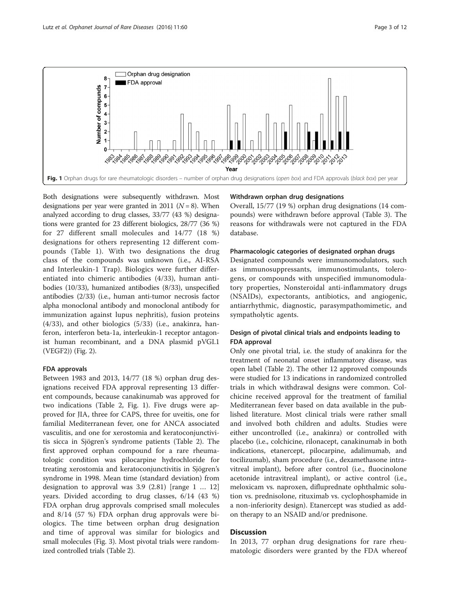<span id="page-2-0"></span>

Both designations were subsequently withdrawn. Most designations per year were granted in 2011 ( $N = 8$ ). When analyzed according to drug classes, 33/77 (43 %) designations were granted for 23 different biologics, 28/77 (36 %) for 27 different small molecules and 14/77 (18 %) designations for others representing 12 different compounds (Table [1](#page-3-0)). With two designations the drug class of the compounds was unknown (i.e., AI-RSA and Interleukin-1 Trap). Biologics were further differentiated into chimeric antibodies (4/33), human antibodies (10/33), humanized antibodies (8/33), unspecified antibodies (2/33) (i.e., human anti-tumor necrosis factor alpha monoclonal antibody and monoclonal antibody for immunization against lupus nephritis), fusion proteins (4/33), and other biologics (5/33) (i.e., anakinra, hanferon, interferon beta-1a, interleukin-1 receptor antagonist human recombinant, and a DNA plasmid pVGI.1 (VEGF2)) (Fig. [2\)](#page-5-0).

#### FDA approvals

Between 1983 and 2013, 14/77 (18 %) orphan drug designations received FDA approval representing 13 different compounds, because canakinumab was approved for two indications (Table [2,](#page-6-0) Fig. 1). Five drugs were approved for JIA, three for CAPS, three for uveitis, one for familial Mediterranean fever, one for ANCA associated vasculitis, and one for xerostomia and keratoconjunctivitis sicca in Sjögren's syndrome patients (Table [2\)](#page-6-0). The first approved orphan compound for a rare rheumatologic condition was pilocarpine hydrochloride for treating xerostomia and keratoconjunctivitis in Sjögren's syndrome in 1998. Mean time (standard deviation) from designation to approval was 3.9 (2.81) [range 1 … 12] years. Divided according to drug classes, 6/14 (43 %) FDA orphan drug approvals comprised small molecules and 8/14 (57 %) FDA orphan drug approvals were biologics. The time between orphan drug designation and time of approval was similar for biologics and small molecules (Fig. [3\)](#page-8-0). Most pivotal trials were randomized controlled trials (Table [2](#page-6-0)).

#### Withdrawn orphan drug designations

Overall, 15/77 (19 %) orphan drug designations (14 compounds) were withdrawn before approval (Table [3](#page-9-0)). The reasons for withdrawals were not captured in the FDA database.

# Pharmacologic categories of designated orphan drugs

Designated compounds were immunomodulators, such as immunosuppressants, immunostimulants, tolerogens, or compounds with unspecified immunomodulatory properties, Nonsteroidal anti-inflammatory drugs (NSAIDs), expectorants, antibiotics, and angiogenic, antiarrhythmic, diagnostic, parasympathomimetic, and sympatholytic agents.

# Design of pivotal clinical trials and endpoints leading to FDA approval

Only one pivotal trial, i.e. the study of anakinra for the treatment of neonatal onset inflammatory disease, was open label (Table [2\)](#page-6-0). The other 12 approved compounds were studied for 13 indications in randomized controlled trials in which withdrawal designs were common. Colchicine received approval for the treatment of familial Mediterranean fever based on data available in the published literature. Most clinical trials were rather small and involved both children and adults. Studies were either uncontrolled (i.e., anakinra) or controlled with placebo (i.e., colchicine, rilonacept, canakinumab in both indications, etanercept, pilocarpine, adalimumab, and tocilizumab), sham procedure (i.e., dexamethasone intravitreal implant), before after control (i.e., fluocinolone acetonide intravitreal implant), or active control (i.e., meloxicam vs. naproxen, difluprednate ophthalmic solution vs. prednisolone, rituximab vs. cyclophosphamide in a non-inferiority design). Etanercept was studied as addon therapy to an NSAID and/or prednisone.

## **Discussion**

In 2013, 77 orphan drug designations for rare rheumatologic disorders were granted by the FDA whereof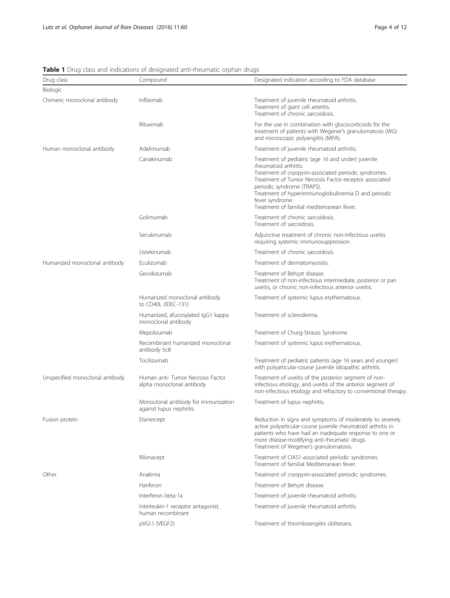| Drug class                      | <b>TWAIS I</b> pray class and indications or acsignated and incarnatic orphan aray<br>Compound | Designated indication according to FDA database                                                                                                                                                                                                                                                                                                      |  |  |  |  |  |
|---------------------------------|------------------------------------------------------------------------------------------------|------------------------------------------------------------------------------------------------------------------------------------------------------------------------------------------------------------------------------------------------------------------------------------------------------------------------------------------------------|--|--|--|--|--|
| Biologic                        |                                                                                                |                                                                                                                                                                                                                                                                                                                                                      |  |  |  |  |  |
| Chimeric monoclonal antibody    | Infliximab                                                                                     | Treatment of juvenile rheumatoid arthritis.<br>Treatment of giant cell arteritis.<br>Treatment of chronic sarcoidosis.                                                                                                                                                                                                                               |  |  |  |  |  |
|                                 | Rituximab                                                                                      | For the use in combination with glucocorticoids for the<br>treatment of patients with Wegener's granulomatosis (WG)<br>and microscopic polyangiitis (MPA).                                                                                                                                                                                           |  |  |  |  |  |
| Human monoclonal antibody       | Adalimumab                                                                                     | Treatment of juvenile rheumatoid arthritis.                                                                                                                                                                                                                                                                                                          |  |  |  |  |  |
|                                 | Canakinumab                                                                                    | Treatment of pediatric (age 16 and under) juvenile<br>rheumatoid arthritis.<br>Treatment of cryopyrin-associated periodic syndromes.<br>Treatment of Tumor Necrosis Factor-receptor associated<br>periodic syndrome (TRAPS).<br>Treatment of hyperimmunoglobulinemia D and periodic<br>fever syndrome.<br>Treatment of familial mediterranean fever. |  |  |  |  |  |
|                                 | Golimumab                                                                                      | Treatment of chronic sarcoidosis.<br>Treatment of sarcoidosis.                                                                                                                                                                                                                                                                                       |  |  |  |  |  |
|                                 | Secukinumab                                                                                    | Adjunctive treatment of chronic non-infectious uveitis<br>requiring systemic immunosuppression.                                                                                                                                                                                                                                                      |  |  |  |  |  |
|                                 | Ustekinumab                                                                                    | Treatment of chronic sarcoidosis.                                                                                                                                                                                                                                                                                                                    |  |  |  |  |  |
| Humanized monoclonal antibody   | Eculizumab                                                                                     | Treatment of dermatomyositis.                                                                                                                                                                                                                                                                                                                        |  |  |  |  |  |
|                                 | Gevokizumab                                                                                    | Treatment of Behçet disease.<br>Treatment of non-infectious intermediate, posterior or pan<br>uveitis, or chronic non-infectious anterior uveitis.                                                                                                                                                                                                   |  |  |  |  |  |
|                                 | Humanized monoclonal antibody<br>to CD40L (IDEC-131)                                           | Treatment of systemic lupus erythematosus.                                                                                                                                                                                                                                                                                                           |  |  |  |  |  |
|                                 | Humanized, afucosylated IgG1 kappa<br>monoclonal antibody                                      | Treatment of scleroderma.                                                                                                                                                                                                                                                                                                                            |  |  |  |  |  |
|                                 | Mepolizumab                                                                                    | Treatment of Churg-Strauss Syndrome.                                                                                                                                                                                                                                                                                                                 |  |  |  |  |  |
|                                 | Recombinant humanized monoclonal<br>antibody 5c8                                               | Treatment of systemic lupus erythematosus.                                                                                                                                                                                                                                                                                                           |  |  |  |  |  |
|                                 | Tocilizumab                                                                                    | Treatment of pediatric patients (age 16 years and younger)<br>with polyarticular-course juvenile idiopathic arthritis.                                                                                                                                                                                                                               |  |  |  |  |  |
| Unspecified monoclonal antibody | Human anti-Tumor Necrosis Factor<br>alpha monoclonal antibody                                  | Treatment of uveitis of the posterior segment of non-<br>infectious etiology, and uveitis of the anterior segment of<br>non-infectious etiology and refractory to conventional therapy                                                                                                                                                               |  |  |  |  |  |
|                                 | Monoclonal antibody for immunization<br>against lupus nephritis                                | Treatment of lupus nephritis.                                                                                                                                                                                                                                                                                                                        |  |  |  |  |  |
| Fusion protein                  | Etanercept                                                                                     | Reduction in signs and symptoms of moderately to severely<br>active polyarticular-course juvenile rheumatoid arthritis in<br>patients who have had an inadequate response to one or<br>more disease-modifying anti-rheumatic drugs.<br>Treatment of Wegener's granulomatosis.                                                                        |  |  |  |  |  |
|                                 | Rilonacept                                                                                     | Treatment of CIAS1-associated periodic syndromes.<br>Treatment of familial Mediterranean fever.                                                                                                                                                                                                                                                      |  |  |  |  |  |
| Other                           | Anakinra                                                                                       | Treatment of cryopyrin-associated periodic syndromes.                                                                                                                                                                                                                                                                                                |  |  |  |  |  |
|                                 | Hanferon                                                                                       | Treatment of Behçet disease.                                                                                                                                                                                                                                                                                                                         |  |  |  |  |  |
|                                 | Interferon beta-1a                                                                             | Treatment of juvenile rheumatoid arthritis.                                                                                                                                                                                                                                                                                                          |  |  |  |  |  |
|                                 | Interleukin-1 receptor antagonist,<br>human recombinant                                        | Treatment of juvenile rheumatoid arthritis.                                                                                                                                                                                                                                                                                                          |  |  |  |  |  |

<span id="page-3-0"></span>Table 1 Drug class and indications of designated anti-rheumatic orphan drugs

pVGI.1 (VEGF2) Treatment of thromboangiitis obliterans.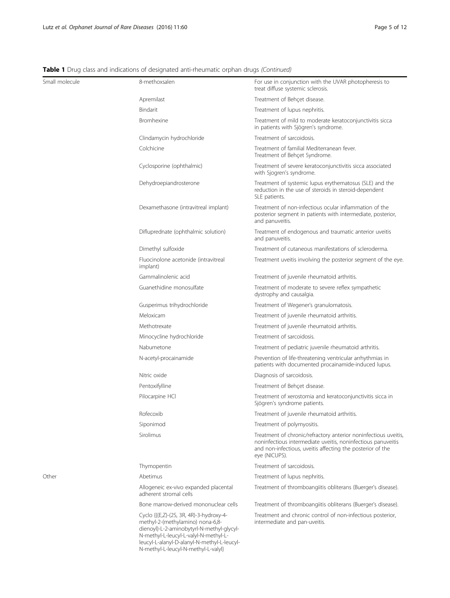| Small molecule | 8-methoxsalen                                                                                                                                                                                                                                           | For use in conjunction with the UVAR photopheresis to<br>treat diffuse systemic sclerosis.                                                                                                                     |  |  |  |  |  |
|----------------|---------------------------------------------------------------------------------------------------------------------------------------------------------------------------------------------------------------------------------------------------------|----------------------------------------------------------------------------------------------------------------------------------------------------------------------------------------------------------------|--|--|--|--|--|
|                | Apremilast                                                                                                                                                                                                                                              | Treatment of Behçet disease.                                                                                                                                                                                   |  |  |  |  |  |
|                | Bindarit                                                                                                                                                                                                                                                | Treatment of lupus nephritis.                                                                                                                                                                                  |  |  |  |  |  |
|                | Bromhexine                                                                                                                                                                                                                                              | Treatment of mild to moderate keratoconjunctivitis sicca<br>in patients with Sjögren's syndrome.                                                                                                               |  |  |  |  |  |
|                | Clindamycin hydrochloride                                                                                                                                                                                                                               | Treatment of sarcoidosis.                                                                                                                                                                                      |  |  |  |  |  |
|                | Colchicine                                                                                                                                                                                                                                              | Treatment of familial Mediterranean fever.<br>Treatment of Behçet Syndrome.                                                                                                                                    |  |  |  |  |  |
|                | Cyclosporine (ophthalmic)                                                                                                                                                                                                                               | Treatment of severe keratoconjunctivitis sicca associated<br>with Sjogren's syndrome.                                                                                                                          |  |  |  |  |  |
|                | Dehydroepiandrosterone                                                                                                                                                                                                                                  | Treatment of systemic lupus erythematosus (SLE) and the<br>reduction in the use of steroids in steroid-dependent<br>SLE patients.                                                                              |  |  |  |  |  |
|                | Dexamethasone (intravitreal implant)                                                                                                                                                                                                                    | Treatment of non-infectious ocular inflammation of the<br>posterior segment in patients with intermediate, posterior,<br>and panuveitis.                                                                       |  |  |  |  |  |
|                | Difluprednate (ophthalmic solution)                                                                                                                                                                                                                     | Treatment of endogenous and traumatic anterior uveitis<br>and panuveitis.                                                                                                                                      |  |  |  |  |  |
|                | Dimethyl sulfoxide                                                                                                                                                                                                                                      | Treatment of cutaneous manifestations of scleroderma.                                                                                                                                                          |  |  |  |  |  |
|                | Fluocinolone acetonide (intravitreal<br>implant)                                                                                                                                                                                                        | Treatment uveitis involving the posterior segment of the eye.                                                                                                                                                  |  |  |  |  |  |
|                | Gammalinolenic acid                                                                                                                                                                                                                                     | Treatment of juvenile rheumatoid arthritis.                                                                                                                                                                    |  |  |  |  |  |
|                | Guanethidine monosulfate                                                                                                                                                                                                                                | Treatment of moderate to severe reflex sympathetic<br>dystrophy and causalgia.                                                                                                                                 |  |  |  |  |  |
|                | Gusperimus trihydrochloride                                                                                                                                                                                                                             | Treatment of Wegener's granulomatosis.                                                                                                                                                                         |  |  |  |  |  |
|                | Meloxicam                                                                                                                                                                                                                                               | Treatment of juvenile rheumatoid arthritis.                                                                                                                                                                    |  |  |  |  |  |
|                | Methotrexate                                                                                                                                                                                                                                            | Treatment of juvenile rheumatoid arthritis.                                                                                                                                                                    |  |  |  |  |  |
|                | Minocycline hydrochloride                                                                                                                                                                                                                               | Treatment of sarcoidosis.                                                                                                                                                                                      |  |  |  |  |  |
|                | Nabumetone                                                                                                                                                                                                                                              | Treatment of pediatric juvenile rheumatoid arthritis.                                                                                                                                                          |  |  |  |  |  |
|                | N-acetyl-procainamide                                                                                                                                                                                                                                   | Prevention of life-threatening ventricular arrhythmias in<br>patients with documented procainamide-induced lupus.                                                                                              |  |  |  |  |  |
|                | Nitric oxide                                                                                                                                                                                                                                            | Diagnosis of sarcoidosis.                                                                                                                                                                                      |  |  |  |  |  |
|                | Pentoxifylline                                                                                                                                                                                                                                          | Treatment of Behçet disease.                                                                                                                                                                                   |  |  |  |  |  |
|                | Pilocarpine HCl                                                                                                                                                                                                                                         | Treatment of xerostomia and keratoconjunctivitis sicca in<br>Sjögren's syndrome patients.                                                                                                                      |  |  |  |  |  |
|                | Rofecoxib                                                                                                                                                                                                                                               | Treatment of juvenile rheumatoid arthritis.                                                                                                                                                                    |  |  |  |  |  |
|                | Siponimod                                                                                                                                                                                                                                               | Treatment of polymyositis.                                                                                                                                                                                     |  |  |  |  |  |
|                | Sirolimus                                                                                                                                                                                                                                               | Treatment of chronic/refractory anterior noninfectious uveitis,<br>noninfectious intermediate uveitis, noninfectious panuveitis<br>and non-infectious, uveitis affecting the posterior of the<br>eye (NICUPS). |  |  |  |  |  |
|                | Thymopentin                                                                                                                                                                                                                                             | Treatment of sarcoidosis.                                                                                                                                                                                      |  |  |  |  |  |
| Other          | Abetimus                                                                                                                                                                                                                                                | Treatment of lupus nephritis.                                                                                                                                                                                  |  |  |  |  |  |
|                | Allogeneic ex-vivo expanded placental<br>adherent stromal cells                                                                                                                                                                                         | Treatment of thromboangiitis obliterans (Buerger's disease).                                                                                                                                                   |  |  |  |  |  |
|                | Bone marrow-derived mononuclear cells                                                                                                                                                                                                                   | Treatment of thromboangiitis obliterans (Buerger's disease).                                                                                                                                                   |  |  |  |  |  |
|                | Cyclo {{(E,Z)-(2S, 3R, 4R)-3-hydroxy-4-<br>methyl-2-(methylamino) nona-6,8-<br>dienoyl}-L-2-aminobytyrl-N-methyl-glycyl-<br>N-methyl-L-leucyl-L-valyl-N-methyl-L-<br>leucyl-L-alanyl-D-alanyl-N-methyl-L-leucyl-<br>N-methyl-L-leucyl-N-methyl-L-valyl} | Treatment and chronic control of non-infectious posterior,<br>intermediate and pan-uveitis.                                                                                                                    |  |  |  |  |  |

Table 1 Drug class and indications of designated anti-rheumatic orphan drugs (Continued)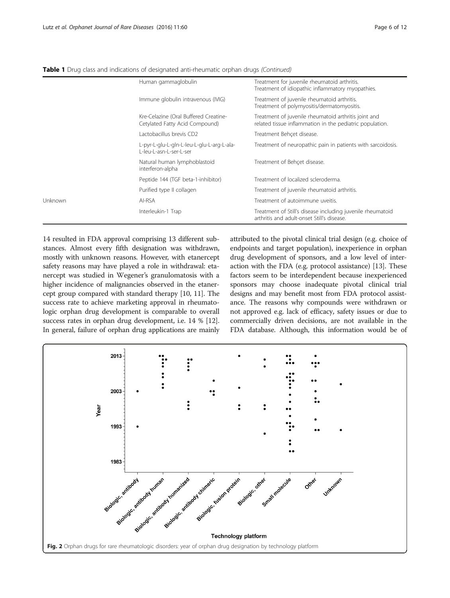|         | Human gammaglobulin                                                       | Treatment for juvenile rheumatoid arthritis.<br>Treatment of idiopathic inflammatory myopathies.                 |  |  |
|---------|---------------------------------------------------------------------------|------------------------------------------------------------------------------------------------------------------|--|--|
|         | Immune globulin intravenous (IVIG)                                        | Treatment of juvenile rheumatoid arthritis.<br>Treatment of polymyositis/dermatomyositis.                        |  |  |
|         | Kre-Celazine (Oral Buffered Creatine-<br>Cetylated Fatty Acid Compound)   | Treatment of juvenile rheumatoid arthritis joint and<br>related tissue inflammation in the pediatric population. |  |  |
|         | Lactobacillus brevis CD2                                                  | Treatment Behçet disease.                                                                                        |  |  |
|         | L-pyr-L-glu-L-gln-L-leu-L-glu-L-arg-L-ala-<br>I -leu-l -asn-l -ser-l -ser | Treatment of neuropathic pain in patients with sarcoidosis.                                                      |  |  |
|         | Natural human lymphoblastoid<br>interferon-alpha                          | Treatment of Behcet disease.                                                                                     |  |  |
|         | Peptide 144 (TGF beta-1-inhibitor)                                        | Treatment of localized scleroderma.                                                                              |  |  |
|         | Purified type II collagen                                                 | Treatment of juvenile rheumatoid arthritis.                                                                      |  |  |
| Unknown | AI-RSA                                                                    | Treatment of autoimmune uveitis.                                                                                 |  |  |
|         | Interleukin-1 Trap                                                        | Treatment of Still's disease including juvenile rheumatoid<br>arthritis and adult-onset Still's disease.         |  |  |

<span id="page-5-0"></span>Table 1 Drug class and indications of designated anti-rheumatic orphan drugs (Continued)

14 resulted in FDA approval comprising 13 different substances. Almost every fifth designation was withdrawn, mostly with unknown reasons. However, with etanercept safety reasons may have played a role in withdrawal: etanercept was studied in Wegener's granulomatosis with a higher incidence of malignancies observed in the etanercept group compared with standard therapy [[10](#page-10-0), [11](#page-10-0)]. The success rate to achieve marketing approval in rheumatologic orphan drug development is comparable to overall success rates in orphan drug development, i.e. 14 % [[12](#page-10-0)]. In general, failure of orphan drug applications are mainly attributed to the pivotal clinical trial design (e.g. choice of endpoints and target population), inexperience in orphan drug development of sponsors, and a low level of interaction with the FDA (e.g. protocol assistance) [[13](#page-10-0)]. These factors seem to be interdependent because inexperienced sponsors may choose inadequate pivotal clinical trial designs and may benefit most from FDA protocol assistance. The reasons why compounds were withdrawn or not approved e.g. lack of efficacy, safety issues or due to commercially driven decisions, are not available in the FDA database. Although, this information would be of

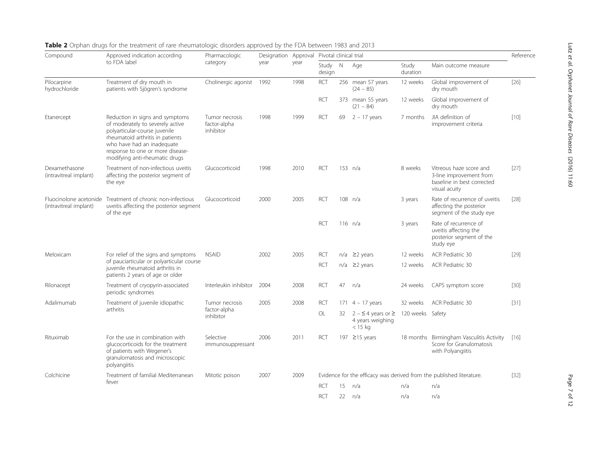| Compound                                         | Approved indication according<br>to FDA label                                                                                                                                                                                                | Pharmacologic<br>category                   | Designation Approval<br>year | year | Pivotal clinical trial                                               |    |                                                             |                   |                                                                                                   | Reference |
|--------------------------------------------------|----------------------------------------------------------------------------------------------------------------------------------------------------------------------------------------------------------------------------------------------|---------------------------------------------|------------------------------|------|----------------------------------------------------------------------|----|-------------------------------------------------------------|-------------------|---------------------------------------------------------------------------------------------------|-----------|
|                                                  |                                                                                                                                                                                                                                              |                                             |                              |      | Study<br>design                                                      | N  | Age                                                         | Study<br>duration | Main outcome measure                                                                              |           |
| Pilocarpine<br>hydrochloride                     | Treatment of dry mouth in<br>patients with Sjögren's syndrome                                                                                                                                                                                | Cholinergic agonist                         | 1992                         | 1998 | RCT                                                                  |    | 256 mean 57 years<br>$(24 - 85)$                            | 12 weeks          | Global improvement of<br>dry mouth                                                                | $[26]$    |
|                                                  |                                                                                                                                                                                                                                              |                                             |                              |      | RCT                                                                  |    | 373 mean 55 years<br>$(21 - 84)$                            | 12 weeks          | Global improvement of<br>dry mouth                                                                |           |
| Etanercept                                       | Reduction in signs and symptoms<br>of moderately to severely active<br>polyarticular-course juvenile<br>rheumatoid arthritis in patients<br>who have had an inadequate<br>response to one or more disease-<br>modifying anti-rheumatic drugs | Tumor necrosis<br>factor-alpha<br>inhibitor | 1998                         | 1999 | <b>RCT</b>                                                           | 69 | $2 - 17$ years                                              | 7 months          | JIA definition of<br>improvement criteria                                                         | $[10]$    |
| Dexamethasone<br>(intravitreal implant)          | Treatment of non-infectious uveitis<br>affecting the posterior segment of<br>the eye                                                                                                                                                         | Glucocorticoid                              | 1998                         | 2010 | RCT                                                                  |    | 153 n/a                                                     | 8 weeks           | Vitreous haze score and<br>3-line improvement from<br>baseline in best corrected<br>visual acuity | $[27]$    |
| Fluocinolone acetonide<br>(intravitreal implant) | Treatment of chronic non-infectious<br>uveitis affecting the posterior segment<br>of the eye                                                                                                                                                 | Glucocorticoid                              | 2000                         | 2005 | RCT                                                                  |    | 108 n/a                                                     | 3 years           | Rate of recurrence of uveitis<br>affecting the posterior<br>segment of the study eye              | $[28]$    |
|                                                  |                                                                                                                                                                                                                                              |                                             |                              |      | <b>RCT</b>                                                           |    | 116 $n/a$                                                   | 3 years           | Rate of recurrence of<br>uveitis affecting the<br>posterior segment of the<br>study eye           |           |
| Meloxicam                                        | For relief of the signs and symptoms<br>of pauciarticular or polyarticular course<br>juvenile rheumatoid arthritis in<br>patients 2 years of age or older                                                                                    | <b>NSAID</b>                                | 2002                         | 2005 | RCT                                                                  |    | $n/a \geq 2$ years                                          | 12 weeks          | ACR Pediatric 30                                                                                  | $[29]$    |
|                                                  |                                                                                                                                                                                                                                              |                                             |                              |      | RCT                                                                  |    | $n/a \geq 2$ years                                          | 12 weeks          | ACR Pediatric 30                                                                                  |           |
| Rilonacept                                       | Treatment of cryopyrin-associated<br>periodic syndromes                                                                                                                                                                                      | Interleukin inhibitor                       | 2004                         | 2008 | RCT                                                                  | 47 | n/a                                                         | 24 weeks          | CAPS symptom score                                                                                | $[30]$    |
| Adalimumab                                       | Treatment of juvenile idiopathic<br>arthritis                                                                                                                                                                                                | Tumor necrosis<br>factor-alpha<br>inhibitor | 2005                         | 2008 | <b>RCT</b>                                                           |    | 171 $4 - 17$ years                                          | 32 weeks          | <b>ACR Pediatric 30</b>                                                                           | $[31]$    |
|                                                  |                                                                                                                                                                                                                                              |                                             |                              |      | OL                                                                   |    | 32 $2 - 54$ years or $\ge$<br>4 years weighing<br>$<$ 15 kg | 120 weeks Safety  |                                                                                                   |           |
| Rituximab                                        | For the use in combination with<br>glucocorticoids for the treatment<br>of patients with Wegener's<br>granulomatosis and microscopic<br>polyangiitis                                                                                         | Selective<br>immunosuppressant              | 2006                         | 2011 | RCT                                                                  |    | 197 ≥15 years                                               |                   | 18 months Birmingham Vasculitis Activity<br>Score for Granulomatosis<br>with Polyangiitis         | $[16]$    |
| Colchicine                                       | Treatment of familial Mediterranean<br>fever                                                                                                                                                                                                 | Mitotic poison                              | 2007                         | 2009 | Evidence for the efficacy was derived from the published literature. |    |                                                             |                   |                                                                                                   |           |
|                                                  |                                                                                                                                                                                                                                              |                                             |                              |      | RCT                                                                  | 15 | n/a                                                         | n/a               | n/a                                                                                               |           |
|                                                  |                                                                                                                                                                                                                                              |                                             |                              |      | <b>RCT</b>                                                           | 22 | n/a                                                         | n/a               | n/a                                                                                               |           |

<span id="page-6-0"></span>Table 2 Orphan drugs for the treatment of rare rheumatologic disorders approved by the FDA between 1983 and 2013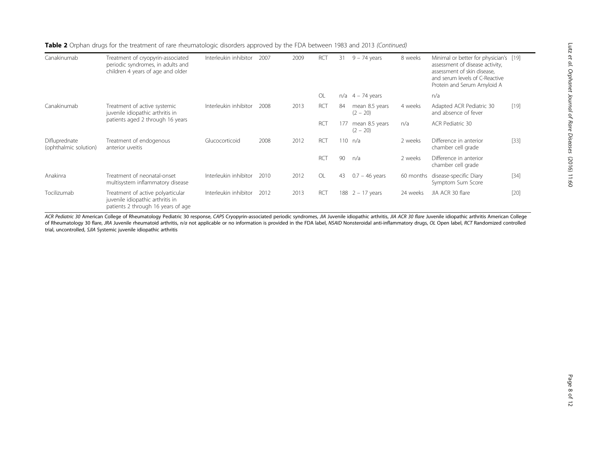| Canakinumab                            | Treatment of cryopyrin-associated<br>periodic syndromes, in adults and<br>children 4 years of age and older | Interleukin inhibitor | 2007 | 2009 | RCT            | 31  | $9 - 74$ years               | 8 weeks   | Minimal or better for physician's [19]<br>assessment of disease activity,<br>assessment of skin disease,<br>and serum levels of C-Reactive<br>Protein and Serum Amyloid A |        |
|----------------------------------------|-------------------------------------------------------------------------------------------------------------|-----------------------|------|------|----------------|-----|------------------------------|-----------|---------------------------------------------------------------------------------------------------------------------------------------------------------------------------|--------|
|                                        |                                                                                                             |                       |      |      | OL             |     | $n/a$ 4 - 74 years           |           | n/a                                                                                                                                                                       |        |
| Canakinumab                            | Treatment of active systemic<br>juvenile idiopathic arthritis in<br>patients aged 2 through 16 years        | Interleukin inhibitor | 2008 | 2013 | <b>RCT</b>     | -84 | mean 8.5 years<br>$(2 - 20)$ | 4 weeks   | Adapted ACR Pediatric 30<br>and absence of fever                                                                                                                          | $[19]$ |
|                                        |                                                                                                             |                       |      |      | <b>RCT</b>     | 177 | mean 8.5 years<br>$(2 - 20)$ | n/a       | ACR Pediatric 30                                                                                                                                                          |        |
| Difluprednate<br>(ophthalmic solution) | Treatment of endogenous<br>anterior uveitis                                                                 | Glucocorticoid        | 2008 | 2012 | <b>RCT</b>     |     | 110 $n/a$                    | 2 weeks   | Difference in anterior<br>chamber cell grade                                                                                                                              | $[33]$ |
|                                        |                                                                                                             |                       |      |      | <b>RCT</b>     | 90  | n/a                          | 2 weeks   | Difference in anterior<br>chamber cell grade                                                                                                                              |        |
| Anakinra                               | Treatment of neonatal-onset<br>multisystem inflammatory disease                                             | Interleukin inhibitor | 2010 | 2012 | $\overline{O}$ | 43  | $0.7 - 46$ years             | 60 months | disease-specific Diary<br>Symptom Sum Score                                                                                                                               | $[34]$ |
| Tocilizumab                            | Treatment of active polyarticular<br>juvenile idiopathic arthritis in<br>patients 2 through 16 years of age | Interleukin inhibitor | 2012 | 2013 | <b>RCT</b>     |     | 188 $2 - 17$ years           | 24 weeks  | JIA ACR 30 flare                                                                                                                                                          | $[20]$ |

Table 2 Orphan drugs for the treatment of rare rheumatologic disorders approved by the FDA between 1983 and 2013 (Continued)

ACR Pediatric 30 American College of Rheumatology Pediatric 30 response, CAPS Cryopyrin-associated periodic syndromes, JIA Juvenile idiopathic arthritis, JIA ACR 30 flare Juvenile idiopathic arthritis American College of Rheumatology 30 flare, JRA Juvenile rheumatoid arthritis, n/a not applicable or no information is provided in the FDA label, NSAID Nonsteroidal anti-inflammatory drugs, OL Open label, RCT Randomized controlled trial, uncontrolled, SJIA Systemic juvenile idiopathic arthritis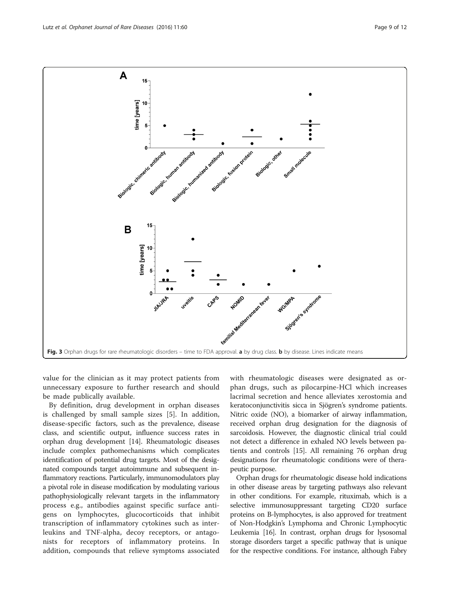<span id="page-8-0"></span>

value for the clinician as it may protect patients from unnecessary exposure to further research and should be made publically available.

By definition, drug development in orphan diseases is challenged by small sample sizes [[5\]](#page-10-0). In addition, disease-specific factors, such as the prevalence, disease class, and scientific output, influence success rates in orphan drug development [[14](#page-10-0)]. Rheumatologic diseases include complex pathomechanisms which complicates identification of potential drug targets. Most of the designated compounds target autoimmune and subsequent inflammatory reactions. Particularly, immunomodulators play a pivotal role in disease modification by modulating various pathophysiologically relevant targets in the inflammatory process e.g., antibodies against specific surface antigens on lymphocytes, glucocorticoids that inhibit transcription of inflammatory cytokines such as interleukins and TNF-alpha, decoy receptors, or antagonists for receptors of inflammatory proteins. In addition, compounds that relieve symptoms associated

with rheumatologic diseases were designated as orphan drugs, such as pilocarpine-HCl which increases lacrimal secretion and hence alleviates xerostomia and keratoconjunctivitis sicca in Sjögren's syndrome patients. Nitric oxide (NO), a biomarker of airway inflammation, received orphan drug designation for the diagnosis of sarcoidosis. However, the diagnostic clinical trial could not detect a difference in exhaled NO levels between patients and controls [\[15\]](#page-10-0). All remaining 76 orphan drug designations for rheumatologic conditions were of therapeutic purpose.

Orphan drugs for rheumatologic disease hold indications in other disease areas by targeting pathways also relevant in other conditions. For example, rituximab, which is a selective immunosuppressant targeting CD20 surface proteins on B-lymphocytes, is also approved for treatment of Non-Hodgkin's Lymphoma and Chronic Lymphocytic Leukemia [\[16\]](#page-10-0). In contrast, orphan drugs for lysosomal storage disorders target a specific pathway that is unique for the respective conditions. For instance, although Fabry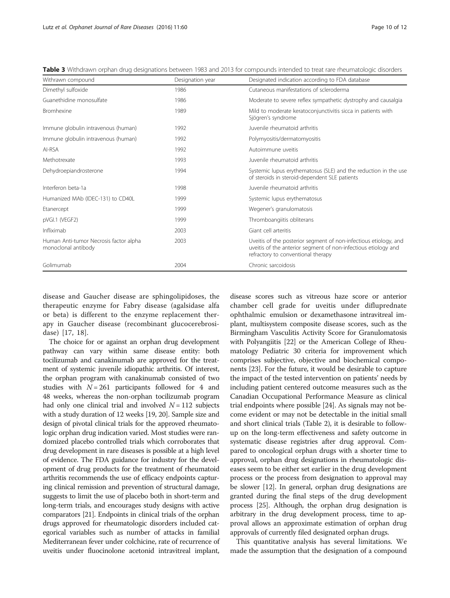| Withrawn compound                                             | Designation year | Designated indication according to FDA database                                                                                                                          |  |  |
|---------------------------------------------------------------|------------------|--------------------------------------------------------------------------------------------------------------------------------------------------------------------------|--|--|
| Dimethyl sulfoxide                                            | 1986             | Cutaneous manifestations of scleroderma                                                                                                                                  |  |  |
| Guanethidine monosulfate                                      | 1986             | Moderate to severe reflex sympathetic dystrophy and causalgia                                                                                                            |  |  |
| <b>Bromhexine</b>                                             | 1989             | Mild to moderate keratoconjunctivitis sicca in patients with<br>Sjögren's syndrome                                                                                       |  |  |
| Immune globulin intravenous (human)                           | 1992             | Juvenile rheumatoid arthritis                                                                                                                                            |  |  |
| Immune globulin intravenous (human)                           | 1992             | Polymyositis/dermatomyositis                                                                                                                                             |  |  |
| AI-RSA                                                        | 1992             | Autoimmune uveitis                                                                                                                                                       |  |  |
| Methotrexate                                                  | 1993             | Juvenile rheumatoid arthritis                                                                                                                                            |  |  |
| Dehydroepiandrosterone                                        | 1994             | Systemic lupus erythematosus (SLE) and the reduction in the use<br>of steroids in steroid-dependent SLE patients                                                         |  |  |
| Interferon beta-1a                                            | 1998             | Juvenile rheumatoid arthritis                                                                                                                                            |  |  |
| Humanized MAb (IDEC-131) to CD40L                             | 1999             | Systemic lupus erythematosus                                                                                                                                             |  |  |
| Etanercept                                                    | 1999             | Wegener's granulomatosis                                                                                                                                                 |  |  |
| pVGI.1 (VEGF2)                                                | 1999             | Thromboangiitis obliterans                                                                                                                                               |  |  |
| Infliximab                                                    | 2003             | Giant cell arteritis                                                                                                                                                     |  |  |
| Human Anti-tumor Necrosis factor alpha<br>monoclonal antibody | 2003             | Uveitis of the posterior segment of non-infectious etiology, and<br>uveitis of the anterior segment of non-infectious etiology and<br>refractory to conventional therapy |  |  |
| Golimumab                                                     | 2004             | Chronic sarcoidosis                                                                                                                                                      |  |  |

<span id="page-9-0"></span>Table 3 Withdrawn orphan drug designations between 1983 and 2013 for compounds intended to treat rare rheumatologic disorders

disease and Gaucher disease are sphingolipidoses, the therapeutic enzyme for Fabry disease (agalsidase alfa or beta) is different to the enzyme replacement therapy in Gaucher disease (recombinant glucocerebrosidase) [\[17](#page-10-0), [18\]](#page-10-0).

The choice for or against an orphan drug development pathway can vary within same disease entity: both tocilizumab and canakinumab are approved for the treatment of systemic juvenile idiopathic arthritis. Of interest, the orphan program with canakinumab consisted of two studies with  $N = 261$  participants followed for 4 and 48 weeks, whereas the non-orphan tocilizumab program had only one clinical trial and involved  $N = 112$  subjects with a study duration of 12 weeks [[19](#page-10-0), [20](#page-11-0)]. Sample size and design of pivotal clinical trials for the approved rheumatologic orphan drug indication varied. Most studies were randomized placebo controlled trials which corroborates that drug development in rare diseases is possible at a high level of evidence. The FDA guidance for industry for the development of drug products for the treatment of rheumatoid arthritis recommends the use of efficacy endpoints capturing clinical remission and prevention of structural damage, suggests to limit the use of placebo both in short-term and long-term trials, and encourages study designs with active comparators [\[21\]](#page-11-0). Endpoints in clinical trials of the orphan drugs approved for rheumatologic disorders included categorical variables such as number of attacks in familial Mediterranean fever under colchicine, rate of recurrence of uveitis under fluocinolone acetonid intravitreal implant,

disease scores such as vitreous haze score or anterior chamber cell grade for uveitis under difluprednate ophthalmic emulsion or dexamethasone intravitreal implant, multisystem composite disease scores, such as the Birmingham Vasculitis Activity Score for Granulomatosis with Polyangiitis [\[22\]](#page-11-0) or the American College of Rheumatology Pediatric 30 criteria for improvement which comprises subjective, objective and biochemical components [[23](#page-11-0)]. For the future, it would be desirable to capture the impact of the tested intervention on patients' needs by including patient centered outcome measures such as the Canadian Occupational Performance Measure as clinical trial endpoints where possible [\[24\]](#page-11-0). As signals may not become evident or may not be detectable in the initial small and short clinical trials (Table [2\)](#page-6-0), it is desirable to followup on the long-term effectiveness and safety outcome in systematic disease registries after drug approval. Compared to oncological orphan drugs with a shorter time to approval, orphan drug designations in rheumatologic diseases seem to be either set earlier in the drug development process or the process from designation to approval may be slower [\[12\]](#page-10-0). In general, orphan drug designations are granted during the final steps of the drug development process [\[25](#page-11-0)]. Although, the orphan drug designation is arbitrary in the drug development process, time to approval allows an approximate estimation of orphan drug approvals of currently filed designated orphan drugs.

This quantitative analysis has several limitations. We made the assumption that the designation of a compound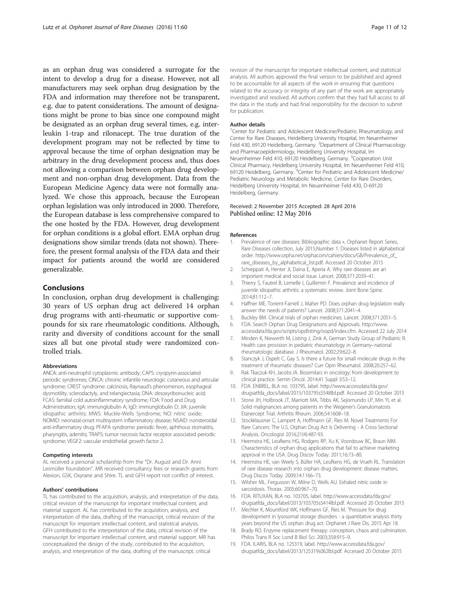<span id="page-10-0"></span>as an orphan drug was considered a surrogate for the intent to develop a drug for a disease. However, not all manufacturers may seek orphan drug designation by the FDA and information may therefore not be transparent, e.g. due to patent considerations. The amount of designations might be prone to bias since one compound might be designated as an orphan drug several times, e.g. interleukin 1-trap and rilonacept. The true duration of the development program may not be reflected by time to approval because the time of orphan designation may be arbitrary in the drug development process and, thus does not allowing a comparison between orphan drug development and non-orphan drug development. Data from the European Medicine Agency data were not formally analyzed. We chose this approach, because the European orphan legislation was only introduced in 2000. Therefore, the European database is less comprehensive compared to the one hosted by the FDA. However, drug development for orphan conditions is a global effort. EMA orphan drug designations show similar trends (data not shown). Therefore, the present formal analysis of the FDA data and their impact for patients around the world are considered generalizable.

#### **Conclusions**

In conclusion, orphan drug development is challenging: 30 years of US orphan drug act delivered 14 orphan drug programs with anti-rheumatic or supportive compounds for six rare rheumatologic conditions. Although, rarity and diversity of conditions account for the small sizes all but one pivotal study were randomized controlled trials.

#### Abbreviations

ANCA: anti-neutrophil cytoplasmic antibody; CAPS: cryopyrin-associated periodic syndromes; CINCA: chronic infantile neurologic cutaneous and articular syndrome; CREST syndrome: calcinosis, Raynaud's phenomenon, esophageal dysmotility, sclerodactyly, and telangiectasia; DNA: desoxyribonucleic acid; FCAS: familial cold autoinflammatory syndrome; FDA: Food and Drug Administration; IgA: immunglobulin A; IgD: immunglobulin D; JIA: juvenile idiopathic arthritis; MWS: Muckle-Wells Syndrome; NO: nitric oxide; NOMID: neonatal-onset multisystem inflammatory disease; NSAID: nonsteroidal anti-inflammatory drug; PFAPA syndrome: periodic fever, aphthous stomatitis, pharyngitis, adenitis; TRAPS: tumor necrosis factor receptor associated periodic syndrome; VEGF2: vascular endothelial growth factor 2.

#### Competing interests

AL received a personal scholarship from the "Dr. August and Dr. Anni Lesmüller foundation". MR received consultancy fees or research grants from Alexion, GSK, Oxyrane and Shire. TL and GFH report not conflict of interest.

#### Authors' contributions

TL has contributed to the acquisition, analysis, and interpretation of the data, critical revision of the manuscript for important intellectual content, and material support. AL has contributed to the acquisition, analysis, and interpretation of the data, drafting of the manuscript, critical revision of the manuscript for important intellectual content, and statistical analysis. GFH contributed to the interpretation of the data, critical revision of the manuscript for important intellectual content, and material support. MR has conceptualized the design of the study, contributed to the acquisition, analysis, and interpretation of the data, drafting of the manuscript, critical

revision of the manuscript for important intellectual content, and statistical analysis. All authors approved the final version to be published and agreed to be accountable for all aspects of the work in ensuring that questions related to the accuracy or integrity of any part of the work are appropriately investigated and resolved. All authors confirm that they had full access to all the data in the study and had final responsibility for the decision to submit for publication.

#### Author details

<sup>1</sup> Center for Pediatric and Adolescent Medicine/Pediatric Rheumatology, and Center for Rare Diseases, Heidelberg University Hospital, Im Neuenheimer Feld 430, 69120 Heidelberg, Germany. <sup>2</sup>Department of Clinical Pharmacology and Pharmacoepidemiology, Heidelberg University Hospital, Im Neuenheimer Feld 410, 69120 Heidelberg, Germany. <sup>3</sup>Cooperation Unit Clinical Pharmacy, Heidelberg University Hospital, Im Neuenheimer Feld 410, 69120 Heidelberg, Germany. <sup>4</sup> Center for Pediatric and Adolescent Medicine/ Pediatric Neurology and Metabolic Medicine, Center for Rare Disorders, Heidelberg University Hospital, Im Neuenheimer Feld 430, D-69120 Heidelberg, Germany.

#### Received: 2 November 2015 Accepted: 28 April 2016 Published online: 12 May 2016

#### References

- 1. Prevalence of rare diseases: Bibliographic data », Orphanet Report Series, Rare Diseases collection, July 2015,Number 1: Diseases listed in alphabetical order. [http://www.orpha.net/orphacom/cahiers/docs/GB/Prevalence\\_of\\_](http://www.orpha.net/orphacom/cahiers/docs/GB/Prevalence_of_rare_diseases_by_alphabetical_list.pdf) [rare\\_diseases\\_by\\_alphabetical\\_list.pdf.](http://www.orpha.net/orphacom/cahiers/docs/GB/Prevalence_of_rare_diseases_by_alphabetical_list.pdf) Accessed 20 October 2015
- 2. Schieppati A, Henter JI, Daina E, Aperia A. Why rare diseases are an important medical and social issue. Lancet. 2008;371:2039–41.
- 3. Thierry S, Fautrel B, Lemelle I, Guillemin F. Prevalence and incidence of juvenile idiopathic arthritis: a systematic review. Joint Bone Spine. 2014;81:112–7.
- 4. Haffner ME, Torrent-Farnell J, Maher PD. Does orphan drug legislation really answer the needs of patients? Lancet. 2008;371:2041–4.
- 5. Buckley BM. Clinical trials of orphan medicines. Lancet. 2008;371:2051–5.
- 6. FDA. Search Orphan Drug Designations and Approvals. [http://www.](http://www.accessdata.fda.gov/scripts/opdlisting/oopd/index.cfm) [accessdata.fda.gov/scripts/opdlisting/oopd/index.cfm.](http://www.accessdata.fda.gov/scripts/opdlisting/oopd/index.cfm) Accessed 22 July 2014
- 7. Minden K, Niewerth M, Listing J, Zink A, German Study Group of Pediatric R. Health care provision in pediatric rheumatology in Germany–national rheumatologic database. J Rheumatol. 2002;29:622–8.
- 8. Stanczyk J, Ospelt C, Gay S. Is there a future for small molecule drugs in the treatment of rheumatic diseases? Curr Opin Rheumatol. 2008;20:257–62.
- 9. Rak Tkaczuk KH, Jacobs IA. Biosimilars in oncology: from development to clinical practice. Semin Oncol. 2014;41 Suppl 3:S3–12.
- 10. FDA. ENBREL, BLA no. 103795, label. [http://www.accessdata.fda.gov/](http://www.accessdata.fda.gov/drugsatfda_docs/label/2015/103795s5548lbl.pdf) [drugsatfda\\_docs/label/2015/103795s5548lbl.pdf.](http://www.accessdata.fda.gov/drugsatfda_docs/label/2015/103795s5548lbl.pdf) Accessed 20 October 2015
- 11. Stone JH, Holbrook JT, Marriott MA, Tibbs AK, Sejismundo LP, Min YI, et al. Solid malignancies among patients in the Wegener's Granulomatosis Etanercept Trial. Arthritis Rheum. 2006;54:1608–18.
- 12. Stockklausner C, Lampert A, Hoffmann GF, Ries M. Novel Treatments For Rare Cancers: The U.S. Orphan Drug Act Is Delivering - A Cross-Sectional Analysis. Oncologist 2016;21(4):487-93.
- 13. Heemstra HE, Leufkens HG, Rodgers RP, Xu K, Voordouw BC, Braun MM. Characteristics of orphan drug applications that fail to achieve marketing approval in the USA. Drug Discov Today. 2011;16:73–80.
- 14. Heemstra HE, van Weely S, Büller HA, Leufkens HG, de Vrueh RL. Translation of rare disease research into orphan drug development: disease matters. Drug Discov Today. 2009;14:1166–73.
- 15. Wilsher ML, Fergusson W, Milne D, Wells AU. Exhaled nitric oxide in sarcoidosis. Thorax. 2005;60:967–70.
- 16. FDA. RITUXAN, BLA no. 103705, label. [http://www.accessdata.fda.gov/](http://www.accessdata.fda.gov/drugsatfda_docs/label/2013/103705s5414lbl.pdf) [drugsatfda\\_docs/label/2013/103705s5414lbl.pdf.](http://www.accessdata.fda.gov/drugsatfda_docs/label/2013/103705s5414lbl.pdf) Accessed 20 October 2015
- 17. Mechler K, Mountford WK, Hoffmann GF, Ries M. "Pressure for drug development in lysosomal storage disorders - a quantitative analysis thirty years beyond the US orphan drug act. Orphanet J Rare Dis. 2015 Apr 18.
- 18. Brady RO. Enzyme replacement therapy: conception, chaos and culmination. Philos Trans R Soc Lond B Biol Sci. 2003;358:915–9.
- 19. FDA. ILARIS, BLA no. 125319, label. [http://www.accessdata.fda.gov/](http://www.accessdata.fda.gov/drugsatfda_docs/label/2013/125319s062lbl.pdf) [drugsatfda\\_docs/label/2013/125319s062lbl.pdf](http://www.accessdata.fda.gov/drugsatfda_docs/label/2013/125319s062lbl.pdf). Accessed 20 October 2015